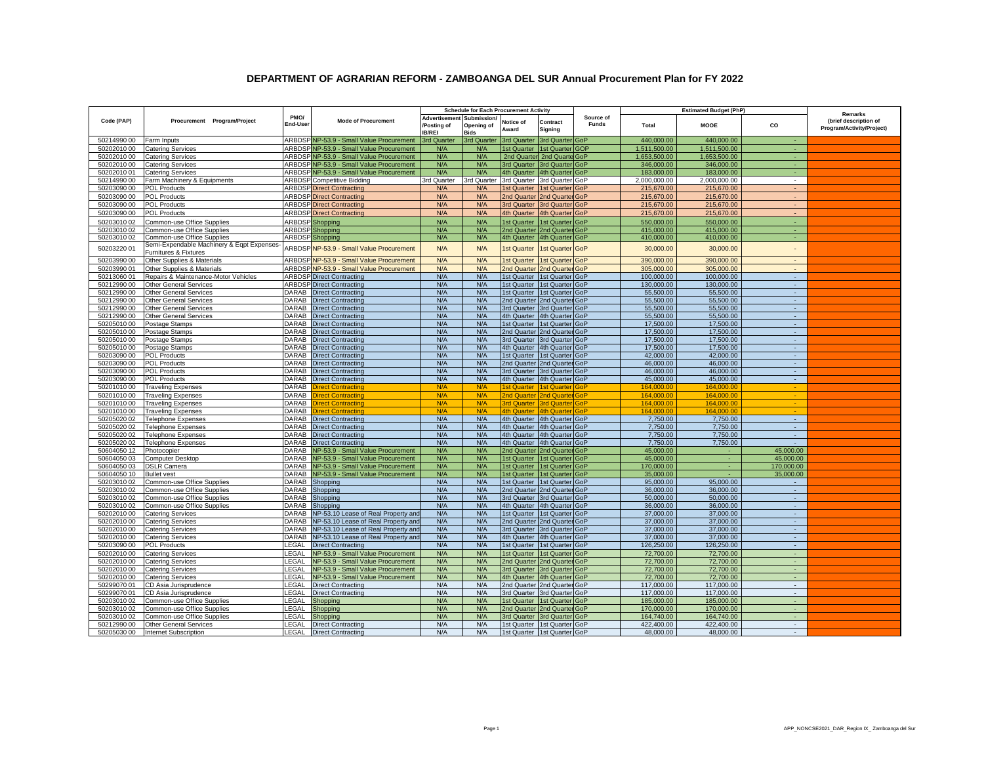## **DEPARTMENT OF AGRARIAN REFORM - ZAMBOANGA DEL SUR Annual Procurement Plan for FY 2022**

|             |                                                                     |                  |                                          | <b>Schedule for Each Procurement Activity</b>             |                           |                             |                                 |                           |              |                                              |                          |                                                               |
|-------------|---------------------------------------------------------------------|------------------|------------------------------------------|-----------------------------------------------------------|---------------------------|-----------------------------|---------------------------------|---------------------------|--------------|----------------------------------------------|--------------------------|---------------------------------------------------------------|
| Code (PAP)  | Procurement Program/Project                                         | PMO/<br>End-Usei | <b>Mode of Procurement</b>               | Advertisement Submission/<br>/Posting of<br><b>IB/REI</b> | Opening of<br><b>Bids</b> | Notice of<br>Award          | Contract<br>Signing             | Source of<br><b>Funds</b> | Total        | <b>Estimated Budget (PhP)</b><br><b>MOOE</b> | CO                       | Remarks<br>(brief description of<br>Program/Activity/Project) |
| 50214990 00 | Farm Inputs                                                         |                  | ARBDSP NP-53.9 - Small Value Procurement | 3rd Quarter                                               | 3rd Quarter               | 3rd Quarter 3rd Quarter GoP |                                 |                           | 440,000.00   | 440,000.00                                   | $\sim$                   |                                                               |
| 50202010 00 | <b>Catering Services</b>                                            |                  | ARBDSP NP-53.9 - Small Value Procurement | N/A                                                       | N/A                       |                             | 1st Quarter 1st Quarter GOP     |                           | 1,511,500.00 | 1,511,500.00                                 | A.                       |                                                               |
| 50202010 00 | <b>Catering Services</b>                                            |                  | ARBDSP NP-53.9 - Small Value Procurement | N/A                                                       | N/A                       |                             | 2nd Quarter 2nd Quarte GoP      |                           | 1,653,500.00 | 1,653,500.00                                 |                          |                                                               |
| 50202010 00 | <b>Catering Services</b>                                            |                  | ARBDSPNP-53.9 - Small Value Procurement  | N/A                                                       | N/A                       |                             | 3rd Quarter 3rd Quarter GoP     |                           | 346,000.00   | 346,000.00                                   |                          |                                                               |
| 50202010 01 | <b>Catering Services</b>                                            |                  | ARBDSP NP-53.9 - Small Value Procurement | N/A                                                       | N/A                       |                             | 4th Quarter 4th Quarter GoP     |                           | 183,000.00   | 183,000.00                                   | $\sim$                   |                                                               |
| 50214990 00 | Farm Machinery & Equipments                                         |                  | <b>ARBDSP</b> Competitive Bidding        | 3rd Quarter                                               | 3rd Quarter               |                             | 3rd Quarter 3rd Quarter GoP     |                           | 2,000,000.00 | 2,000,000.00                                 | $\overline{\phantom{a}}$ |                                                               |
| 50203090 00 | <b>POL Products</b>                                                 |                  | <b>ARBDSP</b> Direct Contracting         | N/A                                                       | N/A                       |                             | 1st Quarter 1st Quarter GoP     |                           | 215,670.00   | 215,670.00                                   | $\sim$                   |                                                               |
| 50203090 00 | <b>POL Products</b>                                                 |                  | <b>ARBDSP</b> Direct Contracting         | N/A                                                       | N/A                       |                             | 2nd Quarter 2nd Quarter GoP     |                           | 215,670.00   | 215,670.00                                   | $\sim$                   |                                                               |
| 50203090 00 | <b>POL Products</b>                                                 |                  | <b>ARBDSP</b> Direct Contracting         | N/A                                                       | N/A                       |                             | 3rd Quarter 3rd Quarter GoP     |                           | 215,670.00   | 215,670.00                                   | $\sim$                   |                                                               |
| 50203090 00 | <b>POL Products</b>                                                 |                  | <b>ARBDSP</b> Direct Contracting         | N/A                                                       | N/A                       |                             | 4th Quarter 4th Quarter GoP     |                           | 215,670.00   | 215,670.00                                   | $\sim$                   |                                                               |
| 5020301002  | Common-use Office Supplies                                          |                  | ARBDSP Shopping                          | N/A                                                       | N/A                       |                             | 1st Quarter 1st Quarter GoP     |                           | 550,000.00   | 550,000.00                                   | $\bullet$                |                                                               |
| 5020301002  | Common-use Office Supplies                                          |                  | <b>ARBDSP</b> Shopping                   | N/A                                                       | N/A                       |                             | 2nd Quarter 2nd Quarter GoP     |                           | 415.000.00   | 415.000.00                                   | A.                       |                                                               |
| 50203010 02 | Common-use Office Supplies                                          |                  | <b>ARBDSP</b> Shopping                   | N/A                                                       | N/A                       |                             | 4th Quarter 4th Quarter GoP     |                           | 410.000.00   | 410.000.00                                   | ×.                       |                                                               |
| 50203220 01 | Semi-Expendable Machinery & Eqpt Expenses-<br>Furnitures & Fixtures |                  | ARBDSPNP-53.9 - Small Value Procurement  | N/A                                                       | N/A                       | 1st Quarter                 | 1st Quarter GoP                 |                           | 30,000.00    | 30,000.00                                    | $\sim$                   |                                                               |
| 50203990 00 | Other Supplies & Materials                                          |                  | ARBDSP NP-53.9 - Small Value Procurement | N/A                                                       | N/A                       |                             | 1st Quarter 1st Quarter GoP     |                           | 390,000.00   | 390,000.00                                   | $\sim$                   |                                                               |
| 50203990 01 | Other Supplies & Materials                                          |                  | ARBDSP NP-53.9 - Small Value Procurement | N/A                                                       | N/A                       |                             | 2nd Quarter 2nd Quarter GoP     |                           | 305,000.00   | 305,000.00                                   |                          |                                                               |
| 50213060 01 | Repairs & Maintenance-Motor Vehicles                                |                  | <b>ARBDSP</b> Direct Contracting         | N/A                                                       | N/A                       |                             | 1st Quarter 1st Quarter GoP     |                           | 100.000.00   | 100.000.00                                   | $\sim$                   |                                                               |
| 50212990 00 | <b>Other General Services</b>                                       |                  | <b>ARBDSP</b> Direct Contracting         | N/A                                                       | N/A                       |                             | 1st Quarter 1st Quarter GoP     |                           | 130,000.00   | 130,000.00                                   | $\mathbb{Z}^2$           |                                                               |
| 50212990 00 | <b>Other General Services</b>                                       |                  | DARAB Direct Contracting                 | N/A                                                       | N/A                       |                             | 1st Quarter 1st Quarter GoP     |                           | 55,500.00    | 55,500.00                                    | $\sim$                   |                                                               |
| 50212990 00 | <b>Other General Services</b>                                       |                  | DARAB Direct Contracting                 | N/A                                                       | N/A                       |                             | 2nd Quarter 2nd Quarter GoP     |                           | 55,500.00    | 55,500.00                                    | $\sim$                   |                                                               |
| 50212990 00 | <b>Other General Services</b>                                       |                  | <b>DARAB</b> Direct Contracting          | N/A                                                       | N/A                       |                             | 3rd Quarter 3rd Quarter GoP     |                           | 55,500.00    | 55.500.00                                    | $\sim$                   |                                                               |
| 50212990 00 | <b>Other General Services</b>                                       |                  | DARAB Direct Contracting                 | N/A                                                       | N/A                       |                             | 4th Quarter 4th Quarter GoP     |                           | 55,500.00    | 55,500.00                                    | $\sim$                   |                                                               |
| 50205010 00 | Postage Stamps                                                      | DARAB            | <b>Direct Contracting</b>                | N/A                                                       | N/A                       |                             | 1st Quarter 1st Quarter GoP     |                           | 17,500.00    | 17,500.00                                    | $\mathbb{Z}^2$           |                                                               |
| 50205010 00 | Postage Stamps                                                      |                  | DARAB Direct Contracting                 | N/A                                                       | N/A                       |                             | 2nd Quarter 2nd Quarter GoP     |                           | 17,500.00    | 17,500.00                                    | $\sim$                   |                                                               |
| 5020501000  | Postage Stamps                                                      |                  | DARAB Direct Contracting                 | N/A                                                       | N/A                       |                             | 3rd Quarter 3rd Quarter GoP     |                           | 17,500.00    | 17,500.00                                    | $\sim$                   |                                                               |
| 50205010 00 | Postage Stamps                                                      |                  | DARAB Direct Contracting                 | N/A                                                       | N/A                       |                             | 4th Quarter 4th Quarter GoP     |                           | 17,500.00    | 17,500.00                                    | $\sim$                   |                                                               |
| 50203090 00 | POL Products                                                        | DARAB            | <b>Direct Contracting</b>                | N/A                                                       | N/A                       |                             | 1st Quarter 1st Quarter GoP     |                           | 42,000.00    | 42,000.00                                    | $\sim$                   |                                                               |
| 50203090 00 | <b>POL Products</b>                                                 |                  | DARAB Direct Contracting                 | N/A                                                       | N/A                       |                             | 2nd Quarter 2nd Quarter GoP     |                           | 46,000.00    | 46,000.00                                    | $\sim$                   |                                                               |
| 50203090 00 | <b>POL Products</b>                                                 | DARAB            | <b>Direct Contracting</b>                | N/A                                                       | N/A                       |                             | 3rd Quarter 3rd Quarter GoP     |                           | 46,000.00    | 46.000.00                                    | $\sim$                   |                                                               |
| 50203090 00 | <b>POL Products</b>                                                 | DARAB            | <b>Direct Contracting</b>                | N/A                                                       | N/A                       |                             | 4th Quarter 4th Quarter GoP     |                           | 45,000.00    | 45,000.00                                    | $\sim$                   |                                                               |
| 50201010 00 | <b>Traveling Expenses</b>                                           | DARAB            | <b>Direct Contracting</b>                | N/A                                                       | N/A                       | 1st Quarter                 | 1st Quarter GoP                 |                           | 164.000.00   | 164.000.00                                   | <b>A</b>                 |                                                               |
| 50201010 00 | <b>Traveling Expenses</b>                                           | DARAB            | <b>Direct Contracting</b>                | N/A                                                       | N/A                       |                             | 2nd Quarter 2nd Quarter GoP     |                           | 164,000.00   | 164,000.00                                   | a.                       |                                                               |
| 50201010 00 | <b>Traveling Expenses</b>                                           |                  | <b>DARAB</b> Direct Contracting          | N/A                                                       | N/A                       | <b>3rd Quarter</b>          | 3rd Quarter GoP                 |                           | 164,000.00   | 164.000.00                                   |                          |                                                               |
| 5020101000  | <b>Traveling Expenses</b>                                           | DARAB            | <b>Direct Contracting</b>                | N/A                                                       | N/A                       |                             | 4th Quarter 4th Quarter GoP     |                           | 164,000.00   | 164.000.00                                   |                          |                                                               |
| 50205020 02 | <b>Telephone Expenses</b>                                           |                  | DARAB Direct Contracting                 | N/A                                                       | N/A                       |                             | 4th Quarter 4th Quarter GoP     |                           | 7,750.00     | 7,750.00                                     | $\sim$                   |                                                               |
| 50205020 02 | <b>Telephone Expenses</b>                                           | DARAB            | <b>Direct Contracting</b>                | N/A                                                       | N/A                       |                             | 4th Quarter 4th Quarter GoP     |                           | 7,750.00     | 7,750.00                                     | $\sim$                   |                                                               |
| 50205020 02 | <b>Telephone Expenses</b>                                           |                  | DARAB Direct Contracting                 | N/A                                                       | N/A                       |                             | 4th Quarter 4th Quarter GoP     |                           | 7,750.00     | 7.750.00                                     | $\sim$                   |                                                               |
| 50205020 02 | <b>Telephone Expenses</b>                                           | DARAB            | <b>Direct Contracting</b>                | N/A                                                       | N/A                       |                             | 4th Quarter 4th Quarter GoP     |                           | 7.750.00     | 7,750.00                                     | $\sim$                   |                                                               |
| 50604050 12 | Photocopier                                                         | <b>DARAB</b>     | NP-53.9 - Small Value Procurement        | N/A                                                       | N/A                       |                             | 2nd Quarter 2nd Quarter GoP     |                           | 45,000.00    | ×                                            | 45,000.00                |                                                               |
| 50604050 03 | <b>Computer Desktop</b>                                             | <b>DARAB</b>     | NP-53.9 - Small Value Procurement        | N/A                                                       | N/A                       |                             | 1st Quarter   1st Quarter   GoP |                           | 45,000.00    | $\sim$                                       | 45,000.00                |                                                               |
| 50604050 03 | <b>DSLR Camera</b>                                                  | DARAB            | NP-53.9 - Small Value Procurement        | N/A                                                       | N/A                       |                             | 1st Quarter   1st Quarter   GoP |                           | 170,000.00   | ÷.                                           | 170,000.00               |                                                               |
| 50604050 10 | <b>Bullet</b> vest                                                  |                  | DARAB NP-53.9 - Small Value Procurement  | N/A                                                       | N/A                       | 1st Quarter                 | 1st Quarter GoP                 |                           | 35,000,00    |                                              | 35,000,00                |                                                               |
| 50203010 02 | Common-use Office Supplies                                          | DARAB            | Shopping                                 | N/A                                                       | N/A                       |                             | 1st Quarter 1st Quarter GoP     |                           | 95,000.00    | 95,000.00                                    | $\sim$                   |                                                               |
| 50203010 02 | Common-use Office Supplies                                          | <b>DARAB</b>     | Shopping                                 | N/A                                                       | N/A                       |                             | 2nd Quarter 2nd Quarter GoP     |                           | 36,000.00    | 36,000.00                                    | $\sim$                   |                                                               |
| 50203010 02 | Common-use Office Supplies                                          | DARAB            | Shopping                                 | N/A                                                       | N/A                       |                             | 3rd Quarter 3rd Quarter GoP     |                           | 50,000.00    | 50,000.00                                    | $\sim$                   |                                                               |
| 5020301002  | Common-use Office Supplies                                          | <b>DARAB</b>     | Shopping                                 | N/A                                                       | N/A                       |                             | 4th Quarter 4th Quarter GoP     |                           | 36,000.00    | 36,000.00                                    |                          |                                                               |
| 50202010 00 | <b>Catering Services</b>                                            | <b>DARAB</b>     | NP-53.10 Lease of Real Property and      | N/A                                                       | N/A                       |                             | 1st Quarter 1st Quarter GoP     |                           | 37,000.00    | 37,000.00                                    | $\sim$                   |                                                               |
| 50202010 00 | <b>Catering Services</b>                                            | DARAB            | NP-53.10 Lease of Real Property and      | N/A                                                       | N/A                       |                             | 2nd Quarter 2nd Quarter GoP     |                           | 37,000.00    | 37,000.00                                    | $\sim$                   |                                                               |
| 50202010 00 | <b>Catering Services</b>                                            | <b>DARAB</b>     | NP-53.10 Lease of Real Property and      | N/A                                                       | N/A                       |                             | 3rd Quarter 3rd Quarter GoP     |                           | 37,000.00    | 37,000.00                                    | $\sim$                   |                                                               |
| 50202010 00 | <b>Catering Services</b>                                            | <b>DARAB</b>     | NP-53.10 Lease of Real Property and      | N/A                                                       | N/A                       |                             | 4th Quarter 4th Quarter GoP     |                           | 37,000.00    | 37,000.00                                    | $\sim$                   |                                                               |
| 50203090 00 | <b>POL Products</b>                                                 | LEGAL            | <b>Direct Contracting</b>                | N/A                                                       | N/A                       |                             | 1st Quarter 11st Quarter GoP    |                           | 126.250.00   | 126.250.00                                   | $\sim$                   |                                                               |
| 50202010 00 | <b>Catering Services</b>                                            | LEGAL            | NP-53.9 - Small Value Procurement        | N/A                                                       | N/A                       |                             | 1st Quarter 1st Quarter GoP     |                           | 72,700.00    | 72,700.00                                    | $\sim$                   |                                                               |
| 50202010 00 | <b>Catering Services</b>                                            | LEGAL            | NP-53.9 - Small Value Procurement        | N/A                                                       | N/A                       |                             | 2nd Quarter 2nd Quarter GoP     |                           | 72,700.00    | 72,700.00                                    | $\sim$                   |                                                               |
| 50202010 00 | <b>Catering Services</b>                                            | LEGAL            | NP-53.9 - Small Value Procurement        | N/A                                                       | N/A                       |                             | 3rd Quarter 3rd Quarter GoP     |                           | 72,700.00    | 72,700.00                                    | $\sim$                   |                                                               |
| 50202010 00 | <b>Catering Services</b>                                            | LEGAL            | NP-53.9 - Small Value Procurement        | N/A                                                       | N/A                       |                             | 4th Quarter 4th Quarter GoP     |                           | 72,700.00    | 72,700.00                                    | a.                       |                                                               |
| 50299070 01 | CD Asia Jurisprudence                                               | LEGAL            | <b>Direct Contracting</b>                | N/A                                                       | N/A                       |                             | 2nd Quarter 2nd Quarter GoP     |                           | 117,000.00   | 117,000.00                                   | $\sim$                   |                                                               |
| 50299070 01 | CD Asia Jurisprudence                                               | LEGAL            | <b>Direct Contracting</b>                | N/A                                                       | N/A                       |                             | 3rd Quarter 3rd Quarter GoP     |                           | 117,000.00   | 117,000.00                                   | $\sim$                   |                                                               |
| 50203010 02 | Common-use Office Supplies                                          | LEGAL            | Shopping                                 | N/A                                                       | N/A                       | 1st Quarter                 | 1st Quarter GoP                 |                           | 185,000.00   | 185,000.00                                   | $\sim$                   |                                                               |
| 50203010 02 | Common-use Office Supplies                                          | LEGAL            | Shopping                                 | N/A                                                       | N/A                       |                             | 2nd Quarter 2nd Quarter GoP     |                           | 170,000.00   | 170,000.00                                   | $\sim$                   |                                                               |
| 50203010 02 | Common-use Office Supplies                                          | LEGAL            | Shopping                                 | N/A                                                       | N/A                       | 3rd Quarter                 | 3rd Quarter GoP                 |                           | 164,740.00   | 164,740.00                                   | $\sim$                   |                                                               |
| 50212990 00 | <b>Other General Services</b>                                       | LEGAL            | <b>Direct Contracting</b>                | N/A                                                       | N/A                       |                             | 1st Quarter 1st Quarter GoP     |                           | 422,400.00   | 422,400.00                                   | $\sim$                   |                                                               |
| 50205030 00 | <b>Internet Subscription</b>                                        |                  | <b>LEGAL Direct Contracting</b>          | N/A                                                       | N/A                       |                             | 1st Quarter 1st Quarter GoP     |                           | 48,000.00    | 48,000.00                                    | $\sim$                   |                                                               |